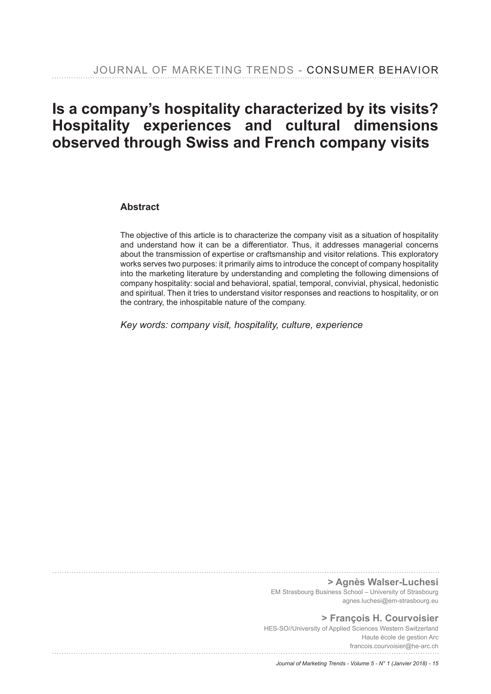# **Is a company's hospitality characterized by its visits? Hospitality experiences and cultural dimensions observed through Swiss and French company visits**

### **Abstract**

The objective of this article is to characterize the company visit as a situation of hospitality and understand how it can be a differentiator. Thus, it addresses managerial concerns about the transmission of expertise or craftsmanship and visitor relations. This exploratory works serves two purposes: it primarily aims to introduce the concept of company hospitality into the marketing literature by understanding and completing the following dimensions of company hospitality: social and behavioral, spatial, temporal, convivial, physical, hedonistic and spiritual. Then it tries to understand visitor responses and reactions to hospitality, or on the contrary, the inhospitable nature of the company.

*Key words: company visit, hospitality, culture, experience*

**> Agnès Walser-Luchesi**

EM Strasbourg Business School – University of Strasbourg agnes.luchesi@em-strasbourg.eu

**> François H. Courvoisier** HES-SO//University of Applied Sciences Western Switzerland Haute école de gestion Arc francois.courvoisier@he-arc.ch

*Journal of Marketing Trends - Volume 5 - N° 1 (Janvier 2018) - 15*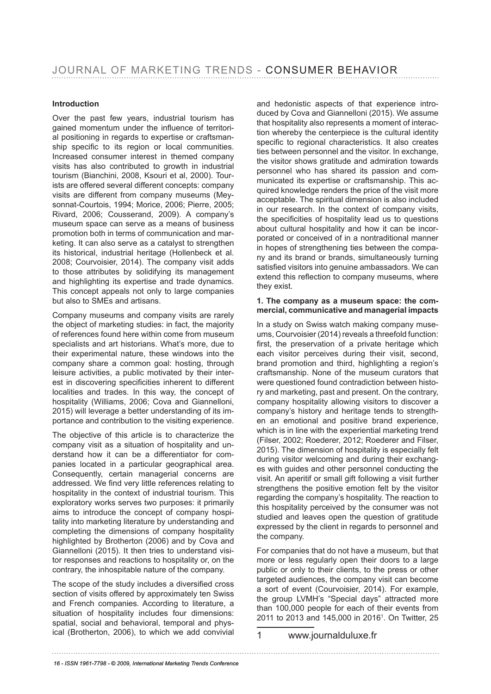### **Introduction**

Over the past few years, industrial tourism has gained momentum under the infuence of territorial positioning in regards to expertise or craftsmanship specific to its region or local communities. Increased consumer interest in themed company visits has also contributed to growth in industrial tourism (Bianchini, 2008, Ksouri et al, 2000). Tourists are offered several different concepts: company visits are different from company museums (Meysonnat-Courtois, 1994; Morice, 2006; Pierre, 2005; Rivard, 2006; Cousserand, 2009). A company's museum space can serve as a means of business promotion both in terms of communication and marketing. It can also serve as a catalyst to strengthen its historical, industrial heritage (Hollenbeck et al. 2008; Courvoisier, 2014). The company visit adds to those attributes by solidifying its management and highlighting its expertise and trade dynamics. This concept appeals not only to large companies but also to SMEs and artisans.

Company museums and company visits are rarely the object of marketing studies: in fact, the majority of references found here within come from museum specialists and art historians. What's more, due to their experimental nature, these windows into the company share a common goal: hosting, through leisure activities, a public motivated by their interest in discovering specificities inherent to different localities and trades. In this way, the concept of hospitality (Williams, 2006; Cova and Giannelloni, 2015) will leverage a better understanding of its importance and contribution to the visiting experience.

The objective of this article is to characterize the company visit as a situation of hospitality and understand how it can be a differentiator for companies located in a particular geographical area. Consequently, certain managerial concerns are addressed. We find very little references relating to hospitality in the context of industrial tourism. This exploratory works serves two purposes: it primarily aims to introduce the concept of company hospitality into marketing literature by understanding and completing the dimensions of company hospitality highlighted by Brotherton (2006) and by Cova and Giannelloni (2015). It then tries to understand visitor responses and reactions to hospitality or, on the contrary, the inhospitable nature of the company.

The scope of the study includes a diversifed cross section of visits offered by approximately ten Swiss and French companies. According to literature, a situation of hospitality includes four dimensions: spatial, social and behavioral, temporal and physical (Brotherton, 2006), to which we add convivial and hedonistic aspects of that experience introduced by Cova and Giannelloni (2015). We assume that hospitality also represents a moment of interaction whereby the centerpiece is the cultural identity specific to regional characteristics. It also creates ties between personnel and the visitor. In exchange, the visitor shows gratitude and admiration towards personnel who has shared its passion and communicated its expertise or craftsmanship. This acquired knowledge renders the price of the visit more acceptable. The spiritual dimension is also included in our research. In the context of company visits, the specifcities of hospitality lead us to questions about cultural hospitality and how it can be incorporated or conceived of in a nontraditional manner in hopes of strengthening ties between the company and its brand or brands, simultaneously turning satisfed visitors into genuine ambassadors. We can extend this reflection to company museums, where they exist.

#### **1. The company as a museum space: the commercial, communicative and managerial impacts**

In a study on Swiss watch making company museums, Courvoisier (2014) reveals a threefold function: first, the preservation of a private heritage which each visitor perceives during their visit, second, brand promotion and third, highlighting a region's craftsmanship. None of the museum curators that were questioned found contradiction between history and marketing, past and present. On the contrary, company hospitality allowing visitors to discover a company's history and heritage tends to strengthen an emotional and positive brand experience, which is in line with the experiential marketing trend (Filser, 2002; Roederer, 2012; Roederer and Filser, 2015). The dimension of hospitality is especially felt during visitor welcoming and during their exchanges with guides and other personnel conducting the visit. An aperitif or small gift following a visit further strengthens the positive emotion felt by the visitor regarding the company's hospitality. The reaction to this hospitality perceived by the consumer was not studied and leaves open the question of gratitude expressed by the client in regards to personnel and the company.

For companies that do not have a museum, but that more or less regularly open their doors to a large public or only to their clients, to the press or other targeted audiences, the company visit can become a sort of event (Courvoisier, 2014). For example, the group LVMH's "Special days" attracted more than 100,000 people for each of their events from 2011 to 2013 and 145,000 in 2016<sup>1</sup>. On Twitter, 25

1 www.journalduluxe.fr

*16 - ISSN 1961-7798 - © 2009, International Marketing Trends Conference*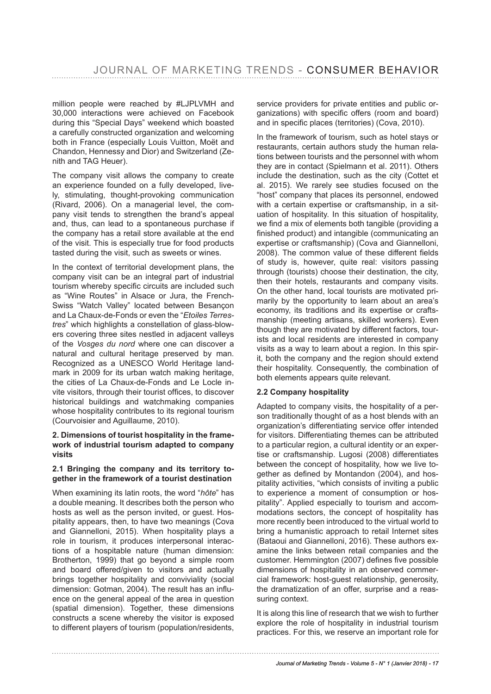million people were reached by #LJPLVMH and 30,000 interactions were achieved on Facebook during this "Special Days" weekend which boasted a carefully constructed organization and welcoming both in France (especially Louis Vuitton, Moët and Chandon, Hennessy and Dior) and Switzerland (Zenith and TAG Heuer).

The company visit allows the company to create an experience founded on a fully developed, lively, stimulating, thought-provoking communication (Rivard, 2006). On a managerial level, the company visit tends to strengthen the brand's appeal and, thus, can lead to a spontaneous purchase if the company has a retail store available at the end of the visit. This is especially true for food products tasted during the visit, such as sweets or wines.

In the context of territorial development plans, the company visit can be an integral part of industrial tourism whereby specific circuits are included such as "Wine Routes" in Alsace or Jura, the French-Swiss "Watch Valley" located between Besançon and La Chaux-de-Fonds or even the "*Etoiles Terrestres*" which highlights a constellation of glass-blowers covering three sites nestled in adjacent valleys of the *Vosges du nord* where one can discover a natural and cultural heritage preserved by man. Recognized as a UNESCO World Heritage landmark in 2009 for its urban watch making heritage, the cities of La Chaux-de-Fonds and Le Locle invite visitors, through their tourist offices, to discover historical buildings and watchmaking companies whose hospitality contributes to its regional tourism (Courvoisier and Aguillaume, 2010).

### **2. Dimensions of tourist hospitality in the framework of industrial tourism adapted to company visits**

### **2.1 Bringing the company and its territory together in the framework of a tourist destination**

When examining its latin roots, the word "*hôte*" has a double meaning. It describes both the person who hosts as well as the person invited, or guest. Hospitality appears, then, to have two meanings (Cova and Giannelloni, 2015). When hospitality plays a role in tourism, it produces interpersonal interactions of a hospitable nature (human dimension: Brotherton, 1999) that go beyond a simple room and board offered/given to visitors and actually brings together hospitality and conviviality (social dimension: Gotman, 2004). The result has an infuence on the general appeal of the area in question (spatial dimension). Together, these dimensions constructs a scene whereby the visitor is exposed to different players of tourism (population/residents, service providers for private entities and public organizations) with specific offers (room and board) and in specifc places (territories) (Cova, 2010).

In the framework of tourism, such as hotel stays or restaurants, certain authors study the human relations between tourists and the personnel with whom they are in contact (Spielmann et al. 2011). Others include the destination, such as the city (Cottet et al. 2015). We rarely see studies focused on the "host" company that places its personnel, endowed with a certain expertise or craftsmanship, in a situation of hospitality. In this situation of hospitality, we find a mix of elements both tangible (providing a fnished product) and intangible (communicating an expertise or craftsmanship) (Cova and Giannelloni, 2008). The common value of these different fields of study is, however, quite real: visitors passing through (tourists) choose their destination, the city, then their hotels, restaurants and company visits. On the other hand, local tourists are motivated primarily by the opportunity to learn about an area's economy, its traditions and its expertise or craftsmanship (meeting artisans, skilled workers). Even though they are motivated by different factors, tourists and local residents are interested in company visits as a way to learn about a region. In this spirit, both the company and the region should extend their hospitality. Consequently, the combination of both elements appears quite relevant.

### **2.2 Company hospitality**

Adapted to company visits, the hospitality of a person traditionally thought of as a host blends with an organization's differentiating service offer intended for visitors. Differentiating themes can be attributed to a particular region, a cultural identity or an expertise or craftsmanship. Lugosi (2008) differentiates between the concept of hospitality, how we live together as defned by Montandon (2004), and hospitality activities, "which consists of inviting a public to experience a moment of consumption or hospitality". Applied especially to tourism and accommodations sectors, the concept of hospitality has more recently been introduced to the virtual world to bring a humanistic approach to retail Internet sites (Bataoui and Giannelloni, 2016). These authors examine the links between retail companies and the customer. Hemmington (2007) defines five possible dimensions of hospitality in an observed commercial framework: host-guest relationship, generosity, the dramatization of an offer, surprise and a reassuring context.

It is along this line of research that we wish to further explore the role of hospitality in industrial tourism practices. For this, we reserve an important role for

*Journal of Marketing Trends - Volume 5 - N° 1 (Janvier 2018) - 17*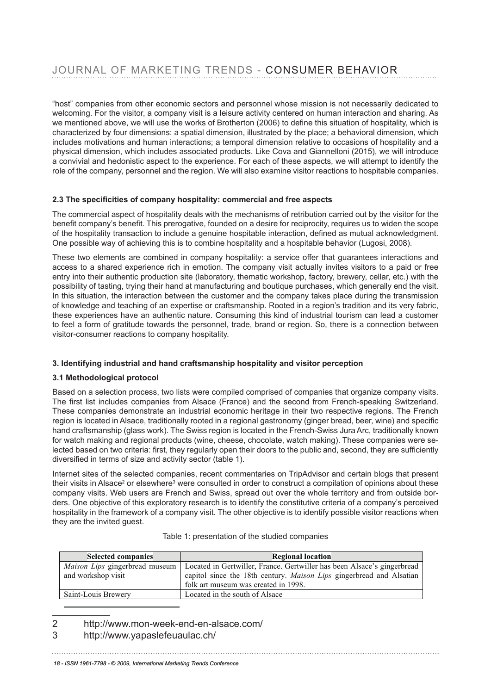"host" companies from other economic sectors and personnel whose mission is not necessarily dedicated to welcoming. For the visitor, a company visit is a leisure activity centered on human interaction and sharing. As weicoming. For the visitor, a company visit is a leisure activity centered on numan interaction and snamig. As<br>we mentioned above, we will use the works of Brotherton (2006) to define this situation of hospitality, which i we mentioned above, we will use the works of Brotherton (2000) to define this situation of hospitality, which is<br>characterized by four dimensions: a spatial dimension, illustrated by the place; a behavioral dimension, whic includes motivations and human interactions; a temporal dimension relative to occasions of hospitality and a includes physical dimension, which includes associated products. Like Cova and Giannelloni (2015), we will introduce a convivial and hedonistic aspect to the experience. For each of these aspects, we will attempt to identify the a convivial and nedomstic aspect to the experience. The each of these aspects, we will attempt to identify the<br>role of the company, personnel and the region. We will also examine visitor reactions to hospitable companies. for and company, percentionand and region. The will dide examine violen reactions to helphable company

### 2.3 The specificities of company hospitality: commercial and free aspects

The commercial aspect of hospitality deals with the mechanisms of retribution carried out by the visitor for the Interaction between the proceduring of the transmission of the transmission can be an approximate to the trans<br>benefit company's benefit. This prerogative, founded on a desire for reciprocity, requires us to widen the scop of the hospitality transaction to include a genuine hospitable interaction, defined as mutual acknowledgment. One possible way of achieving this is to combine hospitality and a hospitable behavior (Lugosi, 2008).

These two elements are combined in company hospitality: a service offer that guarantees interactions and access to a shared experience rich in emotion. The company visit actually invites visitors to a paid or free entry into their authentic production site (laboratory, thematic workshop, factory, brewery, cellar, etc.) with the possibility of tasting, trying their hand at manufacturing and boutique purchases, which generally end the visit. In this situation, the interaction between the customer and the company takes place during the transmission of the craftsmanship of an annotation and visitor  $\overline{S}$ of knowledge and teaching of an expertise or craftsmanship. Rooted in a region's tradition and its very fabric, or knowledge and teaching or an experise or cransmarismp. Rooted in a region striamon and its very rabile,<br>these experiences have an authentic nature. Consuming this kind of industrial tourism can lead a customer to feel a form of gratitude towards the personnel, trade, brand or region. So, there is a connection between visitor-consumer reactions to company hospitality.

## 3. Identifying industrial and hand craftsmanship hospitality and visitor perception

### **in the interval of two regions regions. The French regions is located in Alsace, the French regions. The French regions is located in Alsace, traditional lying regions. The French region is located in Alsace, traditional**

Based on a selection process, two lists were compiled comprised of companies that organize company visits. The first list includes companies from Alsace (France) and the second from French-speaking Switzerland. These companies demonstrate an industrial economic heritage in their two respective regions. The French region is located in Alsace, traditionally rooted in a regional gastronomy (ginger bread, beer, wine) and specific hand craftsmanship (glass work). The Swiss region is located in the French-Swiss Jura Arc, traditionally known for watch making and regional products (wine, cheese, chocolate, watch making). These companies were selected based on two criteria: first, they regularly open their doors to the public and, second, they are sufficiently diversified in terms of size and activity sector (table 1).

Internet sites of the selected companies, recent commentaries on TripAdvisor and certain blogs that present their visits in Alsace<sup>2</sup> or elsewhere<sup>3</sup> were consulted in order to construct a compilation of opinions about these company visits. Web users are French and Swiss, spread out over the whole territory and from outside borders. One objective of this exploratory research is to identify the constitutive criteria of a company's perceived hospitality in the framework of a company visit. The other objective is to identify possible visitor reactions when they are the invited guest.

| <b>Selected companies</b>      | <b>Regional location</b>                                                |
|--------------------------------|-------------------------------------------------------------------------|
| Maison Lips gingerbread museum | Located in Gertwiller, France. Gertwiller has been Alsace's gingerbread |
| and workshop visit             | capitol since the 18th century. Maison Lips gingerbread and Alsatian    |
|                                | folk art museum was created in 1998.                                    |
| Saint-Louis Brewery            | Located in the south of Alsace                                          |

# Table 1: presentation of the studied companies Table 1: presentation of the studied companies

- 2 http://www.mon-week-end-en-alsace.com/ <sup>2</sup> http://www.mon-week-end-en-alsace.com/
- 3 http://www.yapaslefeuaulac.ch/ <sup>5</sup>

 $\overline{a}$ 

*18 - ISSN 1961-7798 - © 2009, International Marketing Trends Conference*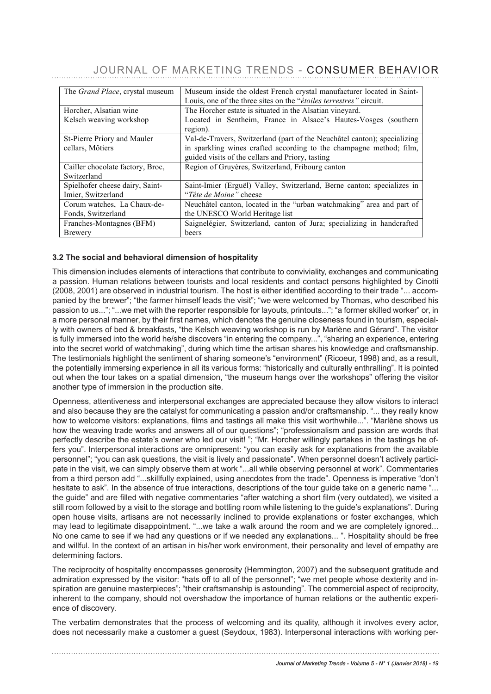## JOURNAL OF MARKETING TRENDS - CONSUMER BEHAVIOR

| The <i>Grand Place</i> , crystal museum | Museum inside the oldest French crystal manufacturer located in Saint-   |
|-----------------------------------------|--------------------------------------------------------------------------|
|                                         | Louis, one of the three sites on the "étoiles terrestres" circuit.       |
| Horcher, Alsatian wine                  | The Horcher estate is situated in the Alsatian vineyard.                 |
| Kelsch weaving workshop                 | Located in Sentheim, France in Alsace's Hautes-Vosges (southern          |
|                                         | region).                                                                 |
| St-Pierre Priory and Mauler             | Val-de-Travers, Switzerland (part of the Neuchâtel canton); specializing |
| cellars, Môtiers                        | in sparkling wines crafted according to the champagne method; film,      |
|                                         | guided visits of the cellars and Priory, tasting                         |
| Cailler chocolate factory, Broc,        | Region of Gruyères, Switzerland, Fribourg canton                         |
| Switzerland                             |                                                                          |
| Spielhofer cheese dairy, Saint-         | Saint-Imier (Erguël) Valley, Switzerland, Berne canton; specializes in   |
| Imier, Switzerland                      | "Tête de Moine" cheese                                                   |
| Corum watches, La Chaux-de-             | Neuchâtel canton, located in the "urban watchmaking" area and part of    |
| Fonds, Switzerland                      | the UNESCO World Heritage list                                           |
| Franches-Montagnes (BFM)                | Saignelégier, Switzerland, canton of Jura; specializing in handcrafted   |
| <b>Brewery</b>                          | beers                                                                    |

### **3.2 The social and behavioral dimension of hospitality 3.2 The social and behavioral dimension of hospitality**

This dimension includes elements of interactions that contribute to conviviality, exchanges and communicating This dimension includes elements of interactions that contribute to conviviality, exchanges a passion. Human relations between tourists and local residents and contact persons highlighted by Cinotti a passion. Figured relations between tourists and local residents and contact persons highlighted by Cinotiti<br>(2008, 2001) are observed in industrial tourism. The host is either identified according to their trade "... acc panied by the brewer"; "the farmer himself leads the visit"; "we were welcomed by Thomas, who described his panied by the brewer"; "the farmer himself leads the visit"; "we were welcomed by Thomas, who described his passion to us..."; "...we met with the reporter responsible for layouts, printouts..."; "a former skilled worker" or, in a more personal manner, by their first names, which denotes the genuine closeness found in tourism, especially with owners of bed & breakfasts, "the Kelsch weaving workshop is run by Marlène and Gérard". The visitor is fully immersed into the world he/she discovers "in entering the company...", "sharing an experience, entering into the secret world of watchmaking", during which time the artisan shares his knowledge and craftsmanship.<br>The testimonials highlight the continent of charity company's "curing worst" (Discours 4999) and see a result The testimonials highlight the sentiment of sharing someone's "environment" (Ricoeur, 1998) and, as a result, The resumbinals inginight the sentiment of sharing someone's "environment" (NICOedi, 1990) and, as a result,<br>the potentially immersing experience in all its various forms: "historically and culturally enthralling". It is p out when the tour takes on a spatial dimension, "the museum hangs over the workshops" offering the visitor out when the tour takes on a spatial dimension, "the museum hangs over the workshops" offering the visitor another type of immersion in the production site.<br>
another type of immersion in the production site.

Openness, attentiveness and interpersonal exchanges are appreciated because they allow visitors to interact Sperifices, alterateness and interpersonal exchanges are appreciated secause they allow visitors to interact<br>and also because they are the catalyst for communicating a passion and/or craftsmanship. "... they really know how to welcome visitors: explanations, films and tastings all make this visit worthwhile...". "Marlène shows us how the weaving trade works and answers all of our questions"; "professionalism and passion are words that perfectly describe the estate's owner who led our visit! "; "Mr. Horcher willingly partakes in the tastings he offers you". Interpersonal interactions are omnipresent: "you can easily ask for explanations from the available one you can ask questions are emmi-recent you can easily about the explanations nonclear and interestional per<br>personnel"; "you can ask questions, the visit is lively and passionate". When personnel doesn't actively partic .<br>pate in the visit, we can simply observe them at work "...all while observing personnel at work". Commentaries from a third person add "...skillfully explained, using anecdotes from the trade". Openness is imperative "don't hesitate to ask". In the absence of true interactions, descriptions of the tour guide take on a generic name "... the guide" and are filled with negative commentaries "after watching a short film (very outdated), we visited a<br>" still room followed by a visit to the storage and bottling room while listening to the guide's explanations". During suil foorn lollowed by a visit to the storage and bottling foorn while listening to the guide's explanations. During<br>open house visits, artisans are not necessarily inclined to provide explanations or foster exchanges, whi open nouse visits, antisans are not necessainly interacte to provide explanations or rester explanations or interpersonal interactions are completely ignored... No one came to see if we had any questions or if we needed any explanations... ". Hospitality should be free and willful. In the context of an artisan in his/her work environment, their personality and level of empathy are determining factors. The observing personnel at work and the work of the commentaries from a third personnel at work and the commentary services from a third personnel at work and the commentary services from a third perso

The reciprocity of hospitality encompasses generosity (Hemmington, 2007) and the subsequent gratitude and admiration expressed by the visitor: "hats off to all of the personnel"; "we met people whose dexterity and inspiration are genuine masterpieces"; "their craftsmanship is astounding". The commercial aspect of reciprocity, inherent to the company, should not overshadow the importance of human relations or the authentic experience of discovery.  $t_{\text{eff}}$  be or discovery. During open house visits, are not necessarily inclined to  $t_{\text{eff}}$ 

The verbatim demonstrates that the process of welcoming and its quality, although it involves every actor, does not necessarily make a customer a guest (Seydoux, 1983). Interpersonal interactions with working per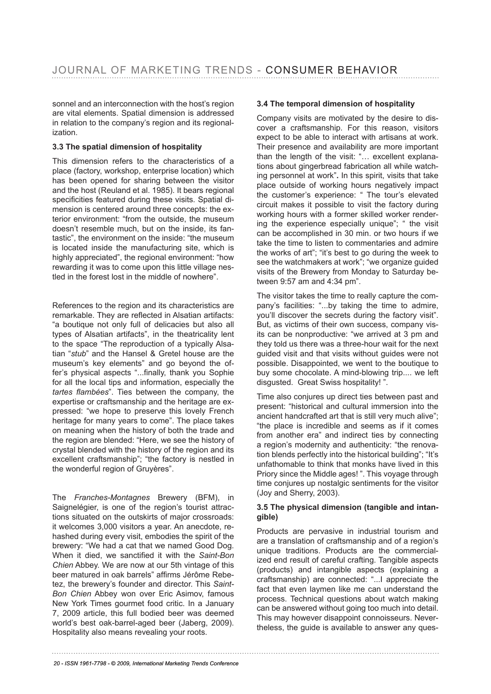sonnel and an interconnection with the host's region are vital elements. Spatial dimension is addressed in relation to the company's region and its regionalization.

### **3.3 The spatial dimension of hospitality**

This dimension refers to the characteristics of a place (factory, workshop, enterprise location) which has been opened for sharing between the visitor and the host (Reuland et al. 1985). It bears regional specificities featured during these visits. Spatial dimension is centered around three concepts: the exterior environment: "from the outside, the museum doesn't resemble much, but on the inside, its fantastic", the environment on the inside: "the museum is located inside the manufacturing site, which is highly appreciated", the regional environment: "how rewarding it was to come upon this little village nestled in the forest lost in the middle of nowhere".

References to the region and its characteristics are remarkable. They are refected in Alsatian artifacts: "a boutique not only full of delicacies but also all types of Alsatian artifacts", in the theatricality lent to the space "The reproduction of a typically Alsatian "*stub*" and the Hansel & Gretel house are the museum's key elements" and go beyond the offer's physical aspects "...fnally, thank you Sophie for all the local tips and information, especially the *tartes fambées*". Ties between the company, the expertise or craftsmanship and the heritage are expressed: "we hope to preserve this lovely French heritage for many years to come". The place takes on meaning when the history of both the trade and the region are blended: "Here, we see the history of crystal blended with the history of the region and its excellent craftsmanship"; "the factory is nestled in the wonderful region of Gruyères".

The *Franches-Montagnes* Brewery (BFM), in Saignelégier, is one of the region's tourist attractions situated on the outskirts of major crossroads: it welcomes 3,000 visitors a year. An anecdote, rehashed during every visit, embodies the spirit of the brewery: "We had a cat that we named Good Dog. When it died, we sanctifed it with the *Saint-Bon Chien* Abbey. We are now at our 5th vintage of this beer matured in oak barrels" affirms Jérôme Rebetez, the brewery's founder and director. This *Saint-Bon Chien* Abbey won over Eric Asimov, famous New York Times gourmet food critic. In a January 7, 2009 article, this full bodied beer was deemed world's best oak-barrel-aged beer (Jaberg, 2009). Hospitality also means revealing your roots.

### **3.4 The temporal dimension of hospitality**

Company visits are motivated by the desire to discover a craftsmanship. For this reason, visitors expect to be able to interact with artisans at work. Their presence and availability are more important than the length of the visit: "… excellent explanations about gingerbread fabrication all while watching personnel at work"**.** In this spirit, visits that take place outside of working hours negatively impact the customer's experience: " The tour's elevated circuit makes it possible to visit the factory during working hours with a former skilled worker rendering the experience especially unique"; " the visit can be accomplished in 30 min. or two hours if we take the time to listen to commentaries and admire the works of art"; "it's best to go during the week to see the watchmakers at work"; "we organize guided visits of the Brewery from Monday to Saturday between 9:57 am and 4:34 pm".

The visitor takes the time to really capture the company's facilities: "...by taking the time to admire, you'll discover the secrets during the factory visit". But, as victims of their own success, company visits can be nonproductive: "we arrived at 3 pm and they told us there was a three-hour wait for the next guided visit and that visits without guides were not possible. Disappointed, we went to the boutique to buy some chocolate. A mind-blowing trip.... we left disgusted. Great Swiss hospitality! ".

Time also conjures up direct ties between past and present: "historical and cultural immersion into the ancient handcrafted art that is still very much alive"; "the place is incredible and seems as if it comes from another era" and indirect ties by connecting a region's modernity and authenticity: "the renovation blends perfectly into the historical building"; "It's unfathomable to think that monks have lived in this Priory since the Middle ages! ". This voyage through time conjures up nostalgic sentiments for the visitor (Joy and Sherry, 2003).

### **3.5 The physical dimension (tangible and intangible)**

Products are pervasive in industrial tourism and are a translation of craftsmanship and of a region's unique traditions. Products are the commercialized end result of careful crafting. Tangible aspects (products) and intangible aspects (explaining a craftsmanship) are connected: "...I appreciate the fact that even laymen like me can understand the process. Technical questions about watch making can be answered without going too much into detail. This may however disappoint connoisseurs. Nevertheless, the guide is available to answer any ques-

*<sup>20 -</sup> ISSN 1961-7798 - © 2009, International Marketing Trends Conference*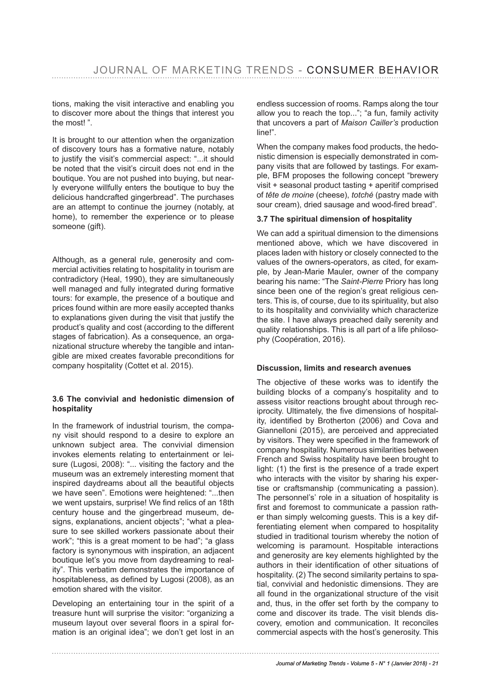tions, making the visit interactive and enabling you to discover more about the things that interest you the most! ".

It is brought to our attention when the organization of discovery tours has a formative nature, notably to justify the visit's commercial aspect: "...it should be noted that the visit's circuit does not end in the boutique. You are not pushed into buying, but nearly everyone willfully enters the boutique to buy the delicious handcrafted gingerbread". The purchases are an attempt to continue the journey (notably, at home), to remember the experience or to please someone (gift).

Although, as a general rule, generosity and commercial activities relating to hospitality in tourism are contradictory (Heal, 1990), they are simultaneously well managed and fully integrated during formative tours: for example, the presence of a boutique and prices found within are more easily accepted thanks to explanations given during the visit that justify the product's quality and cost (according to the different stages of fabrication). As a consequence, an organizational structure whereby the tangible and intangible are mixed creates favorable preconditions for company hospitality (Cottet et al. 2015).

### **3.6 The convivial and hedonistic dimension of hospitality**

In the framework of industrial tourism, the company visit should respond to a desire to explore an unknown subject area. The convivial dimension invokes elements relating to entertainment or leisure (Lugosi, 2008): "... visiting the factory and the museum was an extremely interesting moment that inspired daydreams about all the beautiful objects we have seen". Emotions were heightened: "...then we went upstairs, surprise! We fnd relics of an 18th century house and the gingerbread museum, designs, explanations, ancient objects"; "what a pleasure to see skilled workers passionate about their work"; "this is a great moment to be had"; "a glass factory is synonymous with inspiration, an adjacent boutique let's you move from daydreaming to reality". This verbatim demonstrates the importance of hospitableness, as defned by Lugosi (2008), as an emotion shared with the visitor.

Developing an entertaining tour in the spirit of a treasure hunt will surprise the visitor: "organizing a museum layout over several floors in a spiral formation is an original idea"; we don't get lost in an endless succession of rooms. Ramps along the tour allow you to reach the top..."; "a fun, family activity that uncovers a part of *Maison Cailler's* production line!".

When the company makes food products, the hedonistic dimension is especially demonstrated in company visits that are followed by tastings. For example, BFM proposes the following concept "brewery visit + seasonal product tasting + aperitif comprised of *tête de moine* (cheese), *totché* (pastry made with sour cream), dried sausage and wood-fired bread".

### **3.7 The spiritual dimension of hospitality**

We can add a spiritual dimension to the dimensions mentioned above, which we have discovered in places laden with history or closely connected to the values of the owners-operators, as cited, for example, by Jean-Marie Mauler, owner of the company bearing his name: "The *Saint-Pierre* Priory has long since been one of the region's great religious centers. This is, of course, due to its spirituality, but also to its hospitality and conviviality which characterize the site. I have always preached daily serenity and quality relationships. This is all part of a life philosophy (Coopération, 2016).

### **Discussion, limits and research avenues**

The objective of these works was to identify the building blocks of a company's hospitality and to assess visitor reactions brought about through reciprocity. Ultimately, the five dimensions of hospitality, identifed by Brotherton (2006) and Cova and Giannelloni (2015), are perceived and appreciated by visitors. They were specifed in the framework of company hospitality. Numerous similarities between French and Swiss hospitality have been brought to light: (1) the first is the presence of a trade expert who interacts with the visitor by sharing his expertise or craftsmanship (communicating a passion). The personnel's' role in a situation of hospitality is frst and foremost to communicate a passion rather than simply welcoming guests. This is a key differentiating element when compared to hospitality studied in traditional tourism whereby the notion of welcoming is paramount. Hospitable interactions and generosity are key elements highlighted by the authors in their identifcation of other situations of hospitality. (2) The second similarity pertains to spatial, convivial and hedonistic dimensions. They are all found in the organizational structure of the visit and, thus, in the offer set forth by the company to come and discover its trade. The visit blends discovery, emotion and communication. It reconciles commercial aspects with the host's generosity. This

#### *Journal of Marketing Trends - Volume 5 - N° 1 (Janvier 2018) - 21*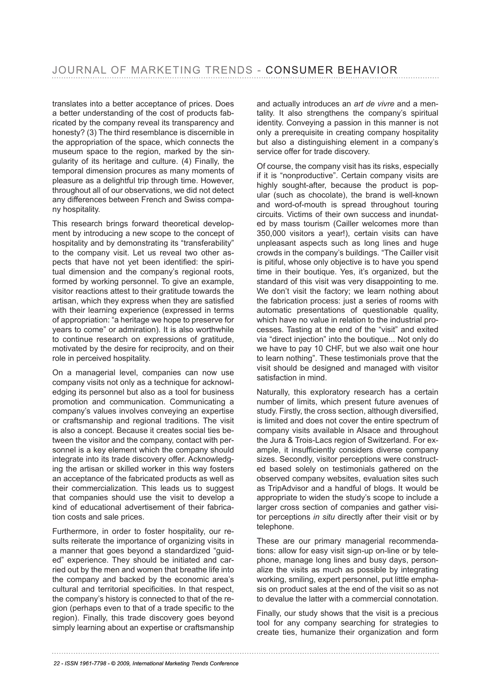translates into a better acceptance of prices. Does a better understanding of the cost of products fabricated by the company reveal its transparency and honesty? (3) The third resemblance is discernible in the appropriation of the space, which connects the museum space to the region, marked by the singularity of its heritage and culture. (4) Finally, the temporal dimension procures as many moments of pleasure as a delightful trip through time. However, throughout all of our observations, we did not detect any differences between French and Swiss company hospitality.

This research brings forward theoretical development by introducing a new scope to the concept of hospitality and by demonstrating its "transferability" to the company visit. Let us reveal two other aspects that have not yet been identifed: the spiritual dimension and the company's regional roots, formed by working personnel. To give an example, visitor reactions attest to their gratitude towards the artisan, which they express when they are satisfed with their learning experience (expressed in terms of appropriation: "a heritage we hope to preserve for years to come" or admiration). It is also worthwhile to continue research on expressions of gratitude, motivated by the desire for reciprocity, and on their role in perceived hospitality.

On a managerial level, companies can now use company visits not only as a technique for acknowledging its personnel but also as a tool for business promotion and communication. Communicating a company's values involves conveying an expertise or craftsmanship and regional traditions. The visit is also a concept. Because it creates social ties between the visitor and the company, contact with personnel is a key element which the company should integrate into its trade discovery offer. Acknowledging the artisan or skilled worker in this way fosters an acceptance of the fabricated products as well as their commercialization. This leads us to suggest that companies should use the visit to develop a kind of educational advertisement of their fabrication costs and sale prices.

Furthermore, in order to foster hospitality, our results reiterate the importance of organizing visits in a manner that goes beyond a standardized "guided" experience. They should be initiated and carried out by the men and women that breathe life into the company and backed by the economic area's cultural and territorial specificities. In that respect, the company's history is connected to that of the region (perhaps even to that of a trade specific to the region). Finally, this trade discovery goes beyond simply learning about an expertise or craftsmanship and actually introduces an *art de vivre* and a mentality. It also strengthens the company's spiritual identity. Conveying a passion in this manner is not only a prerequisite in creating company hospitality but also a distinguishing element in a company's service offer for trade discovery.

Of course, the company visit has its risks, especially if it is "nonproductive". Certain company visits are highly sought-after, because the product is popular (such as chocolate), the brand is well-known and word-of-mouth is spread throughout touring circuits. Victims of their own success and inundated by mass tourism (Cailler welcomes more than 350,000 visitors a year!), certain visits can have unpleasant aspects such as long lines and huge crowds in the company's buildings. "The Cailler visit is pitiful, whose only objective is to have you spend time in their boutique. Yes, it's organized, but the standard of this visit was very disappointing to me. We don't visit the factory; we learn nothing about the fabrication process: just a series of rooms with automatic presentations of questionable quality, which have no value in relation to the industrial processes. Tasting at the end of the "visit" and exited via "direct injection" into the boutique... Not only do we have to pay 10 CHF, but we also wait one hour to learn nothing". These testimonials prove that the visit should be designed and managed with visitor satisfaction in mind.

Naturally, this exploratory research has a certain number of limits, which present future avenues of study. Firstly, the cross section, although diversifed, is limited and does not cover the entire spectrum of company visits available in Alsace and throughout the Jura & Trois-Lacs region of Switzerland. For example, it insufficiently considers diverse company sizes. Secondly, visitor perceptions were constructed based solely on testimonials gathered on the observed company websites, evaluation sites such as TripAdvisor and a handful of blogs. It would be appropriate to widen the study's scope to include a larger cross section of companies and gather visitor perceptions *in situ* directly after their visit or by telephone.

These are our primary managerial recommendations: allow for easy visit sign-up on-line or by telephone, manage long lines and busy days, personalize the visits as much as possible by integrating working, smiling, expert personnel, put little emphasis on product sales at the end of the visit so as not to devalue the latter with a commercial connotation.

Finally, our study shows that the visit is a precious tool for any company searching for strategies to create ties, humanize their organization and form

*22 - ISSN 1961-7798 - © 2009, International Marketing Trends Conference*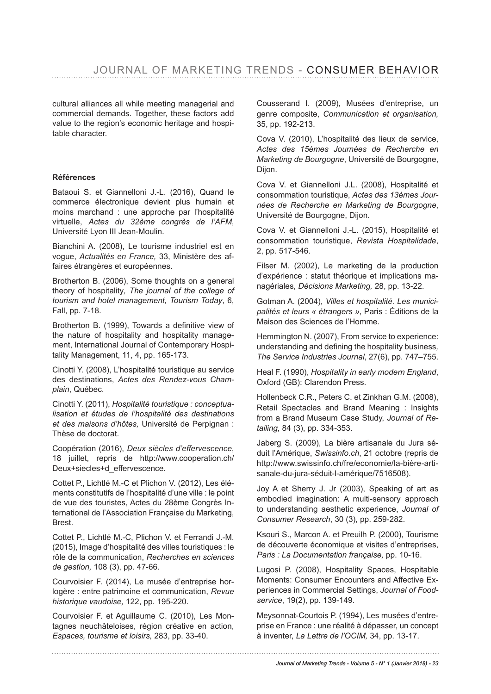cultural alliances all while meeting managerial and commercial demands. Together, these factors add value to the region's economic heritage and hospitable character.

### **Références**

Bataoui S. et Giannelloni J.-L. (2016), Quand le commerce électronique devient plus humain et moins marchand : une approche par l'hospitalité virtuelle, *Actes du 32ème congrès de l'AFM*, Université Lyon III Jean-Moulin.

Bianchini A. (2008), Le tourisme industriel est en vogue, *Actualités en France,* 33, Ministère des affaires étrangères et européennes.

Brotherton B. (2006), Some thoughts on a general theory of hospitality*, The journal of the college of tourism and hotel management, Tourism Today*, 6, Fall, pp. 7-18.

Brotherton B. (1999), Towards a definitive view of the nature of hospitality and hospitality management, International Journal of Contemporary Hospitality Management, 11, 4, pp. 165-173.

Cinotti Y. (2008), L'hospitalité touristique au service des destinations, *Actes des Rendez-vous Champlain*, Québec.

Cinotti Y. (2011), *Hospitalité touristique : conceptualisation et études de l'hospitalité des destinations et des maisons d'hôtes,* Université de Perpignan : Thèse de doctorat.

Coopération (2016), *Deux siècles d'effervescence*, 18 juillet, repris de http://www.cooperation.ch/ Deux+siecles+d\_effervescence.

Cottet P., Lichtlé M.-C et Plichon V. (2012), Les éléments constitutifs de l'hospitalité d'une ville : le point de vue des touristes, Actes du 28ème Congrès International de l'Association Française du Marketing, Brest.

Cottet P., Lichtlé M.-C, Plichon V. et Ferrandi J.-M. (2015), Image d'hospitalité des villes touristiques : le rôle de la communication, *Recherches en sciences de gestion,* 108 (3), pp. 47-66.

Courvoisier F. (2014), Le musée d'entreprise horlogère : entre patrimoine et communication, *Revue historique vaudoise,* 122, pp. 195-220.

Courvoisier F. et Aguillaume C. (2010), Les Montagnes neuchâteloises, région créative en action, *Espaces, tourisme et loisirs,* 283, pp. 33-40.

Cousserand I. (2009), Musées d'entreprise, un genre composite, *Communication et organisation,*  35, pp. 192-213.

Cova V. (2010), L'hospitalité des lieux de service, *Actes des 15èmes Journées de Recherche en Marketing de Bourgogne*, Université de Bourgogne, Dijon.

Cova V. et Giannelloni J.L. (2008), Hospitalité et consommation touristique, *Actes des 13èmes Journées de Recherche en Marketing de Bourgogne*, Université de Bourgogne, Dijon.

Cova V. et Giannelloni J.-L. (2015), Hospitalité et consommation touristique, *Revista Hospitalidade*, 2, pp. 517-546.

Filser M. (2002), Le marketing de la production d'expérience : statut théorique et implications managériales, *Décisions Marketing,* 28, pp. 13-22.

Gotman A. (2004), *Villes et hospitalité. Les municipalités et leurs « étrangers »*, Paris : Éditions de la Maison des Sciences de l'Homme.

Hemmington N. (2007), From service to experience: understanding and defning the hospitality business*, The Service Industries Journal*, 27(6), pp. 747–755.

Heal F. (1990), *Hospitality in early modern England*, Oxford (GB): Clarendon Press.

Hollenbeck C.R., Peters C. et Zinkhan G.M. (2008), Retail Spectacles and Brand Meaning : Insights from a Brand Museum Case Study, *Journal of Retailing,* 84 (3), pp. 334-353.

Jaberg S. (2009), La bière artisanale du Jura séduit l'Amérique, *Swissinfo.ch*, 21 octobre (repris de http://www.swissinfo.ch/fre/economie/la-bière-artisanale-du-jura-séduit-l-amérique/7516508).

Joy A et Sherry J. Jr (2003), Speaking of art as embodied imagination: A multi-sensory approach to understanding aesthetic experience, *Journal of Consumer Research*, 30 (3), pp. 259-282.

Ksouri S., Marcon A. et Preuilh P. (2000), Tourisme de découverte économique et visites d'entreprises, *Paris : La Documentation française,* pp. 10-16.

Lugosi P. (2008), Hospitality Spaces, Hospitable Moments: Consumer Encounters and Affective Experiences in Commercial Settings, *Journal of Foodservice*, 19(2), pp. 139-149.

Meysonnat-Courtois P. (1994), Les musées d'entreprise en France : une réalité à dépasser, un concept à inventer, *La Lettre de l'OCIM,* 34, pp. 13-17.